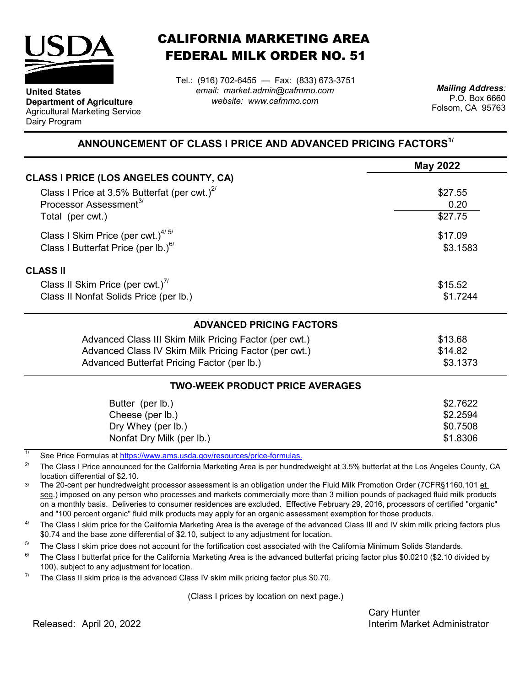

**Department of Agriculture** Agricultural Marketing Service

**United States**

Dairy Program

CALIFORNIA MARKETING AREA FEDERAL MILK ORDER NO. 51

*email: market.admin@cafmmo.com website: www.cafmmo.com* Tel.: (916) 702-6455 — Fax: (833) 673-3751 *Mailing Address:*

P.O. Box 6660 Folsom, CA 95763

## **ANNOUNCEMENT OF CLASS I PRICE AND ADVANCED PRICING FACTORS1/**

|                                                        | <b>May 2022</b> |
|--------------------------------------------------------|-----------------|
| <b>CLASS I PRICE (LOS ANGELES COUNTY, CA)</b>          |                 |
| Class I Price at 3.5% Butterfat (per cwt.) $^{27}$     | \$27.55         |
| Processor Assessment <sup>3/</sup>                     | 0.20            |
| Total (per cwt.)                                       | \$27.75         |
| Class I Skim Price (per cwt.) $4/5/$                   | \$17.09         |
| Class I Butterfat Price (per lb.) $^{6/}$              | \$3.1583        |
| <b>CLASS II</b>                                        |                 |
| Class II Skim Price (per cwt.)"                        | \$15.52         |
| Class II Nonfat Solids Price (per lb.)                 | \$1.7244        |
| <b>ADVANCED PRICING FACTORS</b>                        |                 |
| Advanced Class III Skim Milk Pricing Factor (per cwt.) | \$13.68         |
| Advanced Class IV Skim Milk Pricing Factor (per cwt.)  | \$14.82         |
| Advanced Butterfat Pricing Factor (per lb.)            | \$3.1373        |
| <b>TWO-WEEK PRODUCT PRICE AVERAGES</b>                 |                 |
| Butter (per lb.)                                       | \$2.7622        |
| Cheese (per lb.)                                       | \$2.2594        |
| Dry Whey (per lb.)                                     | \$0.7508        |
| Nonfat Dry Milk (per lb.)                              | \$1.8306        |

1/ [See Price Formulas at h](https://www.ams.usda.gov/resources/price-formulas)ttps://www.ams.usda.gov/resources/price-formulas.

2/ The Class I Price announced for the California Marketing Area is per hundredweight at 3.5% butterfat at the Los Angeles County, CA location differential of \$2.10.

3/ The 20-cent per hundredweight processor assessment is an obligation under the Fluid Milk Promotion Order (7CFR§1160.101 et seq.) imposed on any person who processes and markets commercially more than 3 million pounds of packaged fluid milk products on a monthly basis. Deliveries to consumer residences are excluded. Effective February 29, 2016, processors of certified "organic" and "100 percent organic" fluid milk products may apply for an organic assessment exemption for those products.

 $\Delta l$ The Class I skim price for the California Marketing Area is the average of the advanced Class III and IV skim milk pricing factors plus \$0.74 and the base zone differential of \$2.10, subject to any adjustment for location.

5/ The Class I skim price does not account for the fortification cost associated with the California Minimum Solids Standards.

 $6/$ The Class I butterfat price for the California Marketing Area is the advanced butterfat pricing factor plus \$0.0210 (\$2.10 divided by 100), subject to any adjustment for location.

7/ The Class II skim price is the advanced Class IV skim milk pricing factor plus \$0.70.

(Class I prices by location on next page.)

Cary Hunter Interim Market Administrator

Released: April 20, 2022